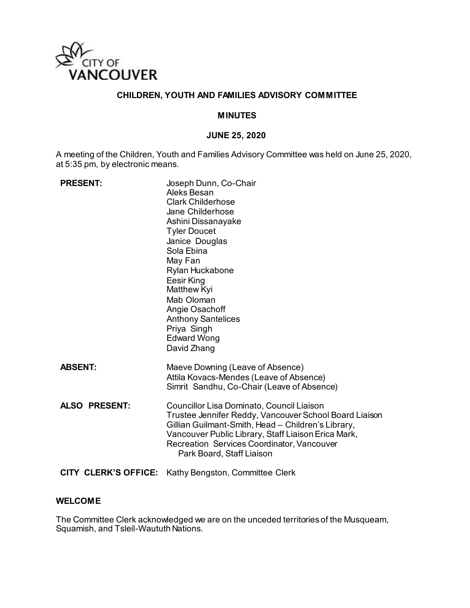

## **CHILDREN, YOUTH AND FAMILIES ADVISORY COMMITTEE**

#### **MINUTES**

#### **JUNE 25, 2020**

A meeting of the Children, Youth and Families Advisory Committee was held on June 25, 2020, at 5:35 pm, by electronic means.

| <b>PRESENT:</b>             | Joseph Dunn, Co-Chair<br>Aleks Besan<br><b>Clark Childerhose</b><br>Jane Childerhose<br>Ashini Dissanayake<br><b>Tyler Doucet</b><br>Janice Douglas<br>Sola Ebina<br>May Fan<br>Rylan Huckabone<br>Eesir King<br>Matthew Kyi<br>Mab Oloman<br>Angie Osachoff<br><b>Anthony Santelices</b><br>Priya Singh<br><b>Edward Wong</b><br>David Zhang |
|-----------------------------|-----------------------------------------------------------------------------------------------------------------------------------------------------------------------------------------------------------------------------------------------------------------------------------------------------------------------------------------------|
| <b>ABSENT:</b>              | Maeve Downing (Leave of Absence)<br>Attila Kovacs-Mendes (Leave of Absence)<br>Simrit Sandhu, Co-Chair (Leave of Absence)                                                                                                                                                                                                                     |
| <b>ALSO PRESENT:</b>        | Councillor Lisa Dominato, Council Liaison<br>Trustee Jennifer Reddy, Vancouver School Board Liaison<br>Gillian Guilmant-Smith, Head - Children's Library,<br>Vancouver Public Library, Staff Liaison Erica Mark,<br><b>Recreation Services Coordinator, Vancouver</b><br>Park Board, Staff Liaison                                            |
| <b>CITY CLERK'S OFFICE:</b> | Kathy Bengston, Committee Clerk                                                                                                                                                                                                                                                                                                               |

#### **WELCOME**

The Committee Clerk acknowledged we are on the unceded territories of the Musqueam, Squamish, and Tsleil-Waututh Nations.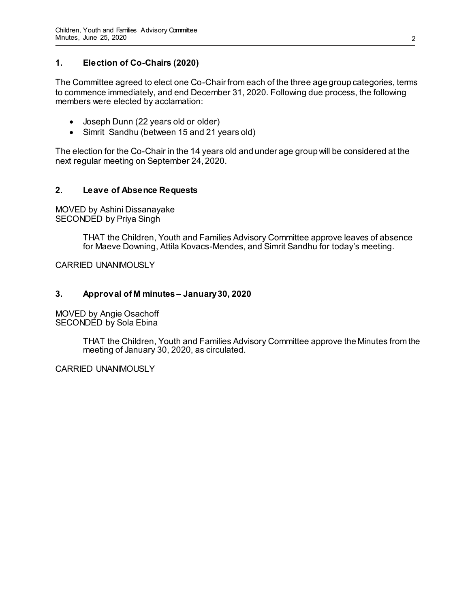## **1. Election of Co-Chairs (2020)**

The Committee agreed to elect one Co-Chair from each of the three age group categories, terms to commence immediately, and end December 31, 2020. Following due process, the following members were elected by acclamation:

- Joseph Dunn (22 years old or older)
- Simrit Sandhu (between 15 and 21 years old)

The election for the Co-Chair in the 14 years old and under age group will be considered at the next regular meeting on September 24, 2020.

## **2. Leave of Absence Requests**

MOVED by Ashini Dissanayake SECONDED by Priya Singh

> THAT the Children, Youth and Families Advisory Committee approve leaves of absence for Maeve Downing, Attila Kovacs-Mendes, and Simrit Sandhu for today's meeting.

CARRIED UNANIMOUSLY

### **3. Approval of M minutes – January 30, 2020**

MOVED by Angie Osachoff SECONDED by Sola Ebina

> THAT the Children, Youth and Families Advisory Committee approve the Minutes from the meeting of January 30, 2020, as circulated.

CARRIED UNANIMOUSLY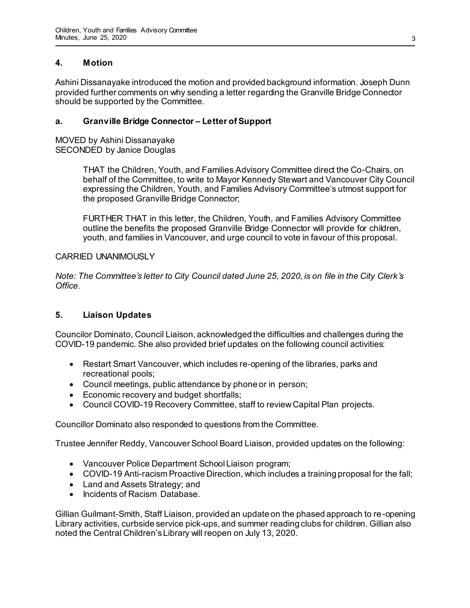## **4. Motion**

Ashini Dissanayake introduced the motion and provided background information. Joseph Dunn provided further comments on why sending a letter regarding the Granville Bridge Connector should be supported by the Committee.

### **a. Granville Bridge Connector – Letter of Support**

MOVED by Ashini Dissanayake SECONDED by Janice Douglas

> THAT the Children, Youth, and Families Advisory Committee direct the Co-Chairs, on behalf of the Committee, to write to Mayor Kennedy Stewart and Vancouver City Council expressing the Children, Youth, and Families Advisory Committee's utmost support for the proposed Granville Bridge Connector;

FURTHER THAT in this letter, the Children, Youth, and Families Advisory Committee outline the benefits the proposed Granville Bridge Connector will provide for children, youth, and families in Vancouver, and urge council to vote in favour of this proposal.

#### CARRIED UNANIMOUSLY

*Note: The Committee's letter to City Council dated June 25, 2020, is on file in the City Clerk's Office.* 

### **5. Liaison Updates**

Councilor Dominato, Council Liaison, acknowledged the difficulties and challenges during the COVID-19 pandemic. She also provided brief updates on the following council activities:

- Restart Smart Vancouver, which includes re-opening of the libraries, parks and recreational pools;
- Council meetings, public attendance by phone or in person;
- Economic recovery and budget shortfalls;
- Council COVID-19 Recovery Committee, staff to review Capital Plan projects.

Councillor Dominato also responded to questions from the Committee.

Trustee Jennifer Reddy, Vancouver School Board Liaison, provided updates on the following:

- Vancouver Police Department School Liaison program;
- COVID-19 Anti-racism Proactive Direction, which includes a training proposal for the fall;
- Land and Assets Strategy; and
- Incidents of Racism Database.

Gillian Guilmant-Smith, Staff Liaison, provided an update on the phased approach to re-opening Library activities, curbside service pick-ups, and summer reading clubs for children. Gillian also noted the Central Children's Library will reopen on July 13, 2020.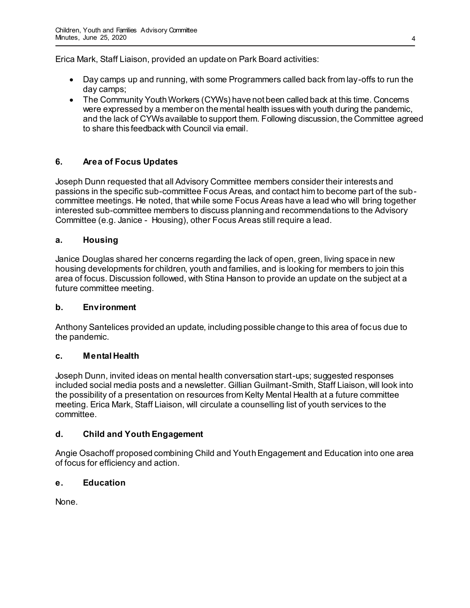Erica Mark, Staff Liaison, provided an update on Park Board activities:

- Day camps up and running, with some Programmers called back from lay-offs to run the day camps;
- The Community Youth Workers (CYWs) have not been called back at this time. Concerns were expressed by a member on the mental health issues with youth during the pandemic, and the lack of CYWs available to support them. Following discussion, the Committee agreed to share this feedback with Council via email.

# **6. Area of Focus Updates**

Joseph Dunn requested that all Advisory Committee members consider their interests and passions in the specific sub-committee Focus Areas, and contact him to become part of the subcommittee meetings. He noted, that while some Focus Areas have a lead who will bring together interested sub-committee members to discuss planning and recommendations to the Advisory Committee (e.g. Janice - Housing), other Focus Areas still require a lead.

## **a. Housing**

Janice Douglas shared her concerns regarding the lack of open, green, living space in new housing developments for children, youth and families, and is looking for members to join this area of focus. Discussion followed, with Stina Hanson to provide an update on the subject at a future committee meeting.

### **b. Environment**

Anthony Santelices provided an update, including possible change to this area of focus due to the pandemic.

### **c. Mental Health**

Joseph Dunn, invited ideas on mental health conversation start-ups; suggested responses included social media posts and a newsletter. Gillian Guilmant-Smith, Staff Liaison, will look into the possibility of a presentation on resources from Kelty Mental Health at a future committee meeting. Erica Mark, Staff Liaison, will circulate a counselling list of youth services to the committee.

### **d. Child and Youth Engagement**

Angie Osachoff proposed combining Child and Youth Engagement and Education into one area of focus for efficiency and action.

### **e. Education**

None.